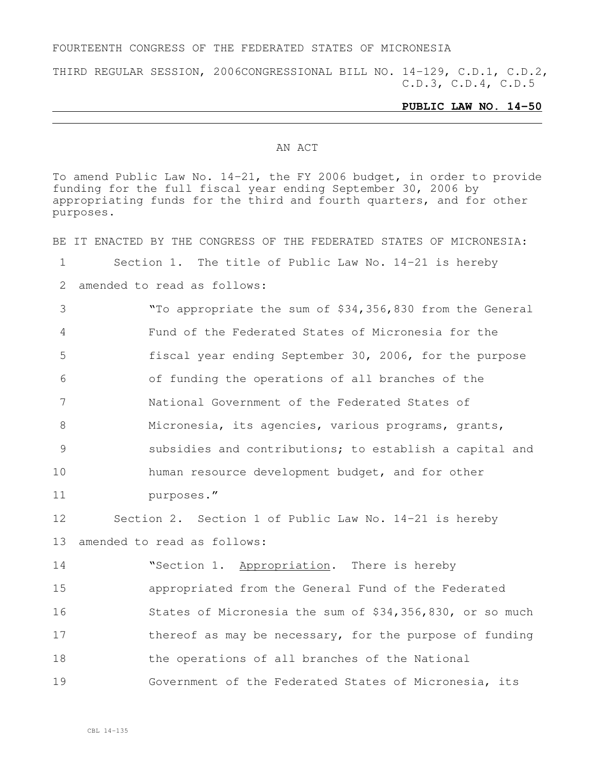### FOURTEENTH CONGRESS OF THE FEDERATED STATES OF MICRONESIA

THIRD REGULAR SESSION, 2006CONGRESSIONAL BILL NO. 14-129, C.D.1, C.D.2, C.D.3, C.D.4, C.D.5

### **PUBLIC LAW NO. 14-50**

### AN ACT

To amend Public Law No. 14-21, the FY 2006 budget, in order to provide funding for the full fiscal year ending September 30, 2006 by appropriating funds for the third and fourth quarters, and for other purposes.

BE IT ENACTED BY THE CONGRESS OF THE FEDERATED STATES OF MICRONESIA: Section 1. The title of Public Law No. 14-21 is hereby amended to read as follows: "To appropriate the sum of \$34,356,830 from the General Fund of the Federated States of Micronesia for the fiscal year ending September 30, 2006, for the purpose of funding the operations of all branches of the National Government of the Federated States of Micronesia, its agencies, various programs, grants, subsidies and contributions; to establish a capital and human resource development budget, and for other purposes." Section 2. Section 1 of Public Law No. 14-21 is hereby amended to read as follows: 14 "Section 1. Appropriation. There is hereby appropriated from the General Fund of the Federated States of Micronesia the sum of \$34,356,830, or so much 17 thereof as may be necessary, for the purpose of funding the operations of all branches of the National Government of the Federated States of Micronesia, its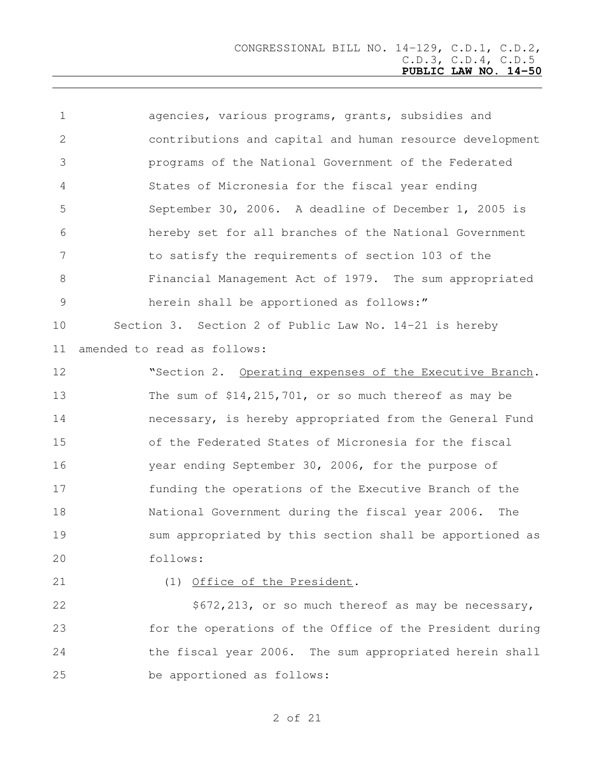agencies, various programs, grants, subsidies and contributions and capital and human resource development programs of the National Government of the Federated States of Micronesia for the fiscal year ending September 30, 2006. A deadline of December 1, 2005 is hereby set for all branches of the National Government to satisfy the requirements of section 103 of the Financial Management Act of 1979. The sum appropriated herein shall be apportioned as follows:" Section 3. Section 2 of Public Law No. 14-21 is hereby

amended to read as follows:

12 Section 2. Operating expenses of the Executive Branch. The sum of \$14,215,701, or so much thereof as may be necessary, is hereby appropriated from the General Fund of the Federated States of Micronesia for the fiscal year ending September 30, 2006, for the purpose of funding the operations of the Executive Branch of the National Government during the fiscal year 2006. The sum appropriated by this section shall be apportioned as follows:

### (1) Office of the President.

22 \$672,213, or so much thereof as may be necessary, for the operations of the Office of the President during the fiscal year 2006. The sum appropriated herein shall be apportioned as follows: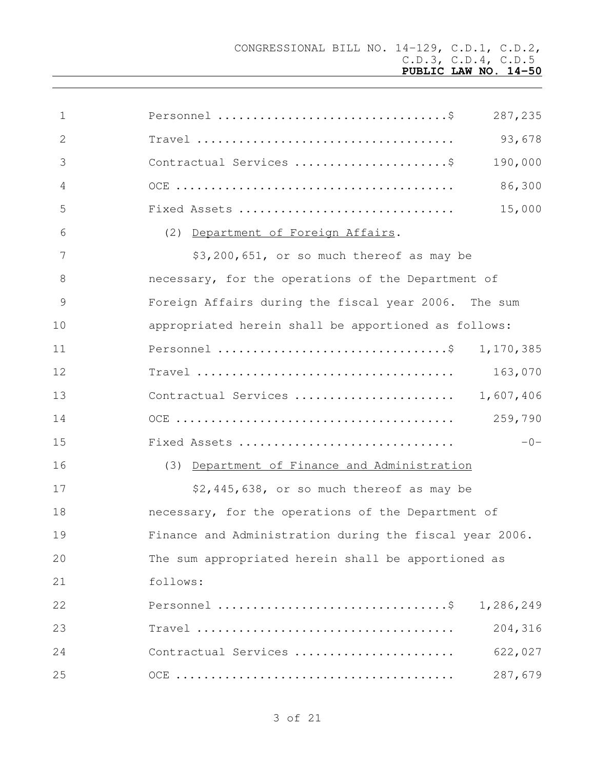| $\mathbf 1$     | 287,235                                                 |
|-----------------|---------------------------------------------------------|
| 2               | 93,678                                                  |
| 3               | 190,000<br>Contractual Services \$                      |
| 4               | 86,300                                                  |
| 5               | 15,000<br>Fixed Assets                                  |
| 6               | (2) Department of Foreign Affairs.                      |
| $7\phantom{.0}$ | \$3,200,651, or so much thereof as may be               |
| 8               | necessary, for the operations of the Department of      |
| $\mathcal{G}$   | Foreign Affairs during the fiscal year 2006. The sum    |
| 10              | appropriated herein shall be apportioned as follows:    |
| 11              | 1,170,385                                               |
| 12              | 163,070                                                 |
| 13              | 1,607,406<br>Contractual Services                       |
| 14              | 259,790                                                 |
| 15              | $-0-$<br>Fixed Assets                                   |
| 16              | (3) Department of Finance and Administration            |
| 17              | \$2,445,638, or so much thereof as may be               |
| 18              | necessary, for the operations of the Department of      |
| 19              | Finance and Administration during the fiscal year 2006. |
| 20              | The sum appropriated herein shall be apportioned as     |
| 21              | follows:                                                |
| 22              | 1,286,249                                               |
| 23              | 204,316                                                 |
| 24              | Contractual Services<br>622,027                         |
| 25              | 287,679                                                 |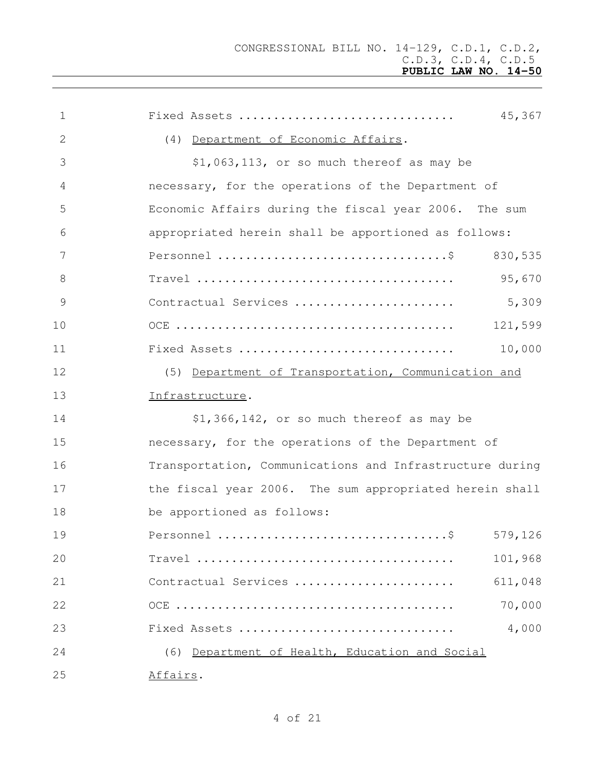| 1  | 45,367<br>Fixed Assets                                                                            |
|----|---------------------------------------------------------------------------------------------------|
| 2  | (4) Department of Economic Affairs.                                                               |
| 3  | $$1,063,113$ , or so much thereof as may be                                                       |
| 4  | necessary, for the operations of the Department of                                                |
| 5  | Economic Affairs during the fiscal year 2006. The sum                                             |
| 6  | appropriated herein shall be apportioned as follows:                                              |
| 7  | 830,535                                                                                           |
| 8  | 95,670<br>$\texttt{Travel}\ \dots\dots\dots\dots\dots\dots\dots\dots\dots\dots\dots\dots\,.$      |
| 9  | 5,309<br>Contractual Services                                                                     |
| 10 | 121,599                                                                                           |
| 11 | 10,000<br>Fixed Assets                                                                            |
| 12 | (5) Department of Transportation, Communication and                                               |
| 13 | Infrastructure.                                                                                   |
| 14 | \$1,366,142, or so much thereof as may be                                                         |
| 15 | necessary, for the operations of the Department of                                                |
| 16 | Transportation, Communications and Infrastructure during                                          |
| 17 | the fiscal year 2006. The sum appropriated herein shall                                           |
| 18 | be apportioned as follows:                                                                        |
| 19 | 579,126                                                                                           |
| 20 | $Travel \dots \dots \dots \dots \dots \dots \dots \dots \dots \dots \dots \dots \dots$<br>101,968 |
| 21 | 611,048<br>Contractual Services                                                                   |
| 22 | 70,000                                                                                            |
| 23 | 4,000<br>Fixed Assets                                                                             |
| 24 | (6) Department of Health, Education and Social                                                    |
| 25 | Affairs.                                                                                          |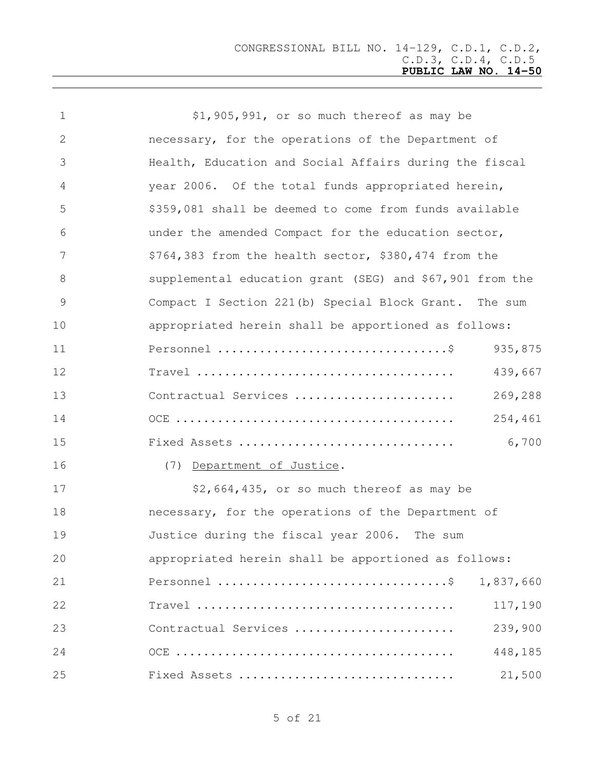| $\mathbf 1$    | \$1,905,991, or so much thereof as may be                                                         |
|----------------|---------------------------------------------------------------------------------------------------|
| 2              | necessary, for the operations of the Department of                                                |
| 3              | Health, Education and Social Affairs during the fiscal                                            |
| 4              | year 2006. Of the total funds appropriated herein,                                                |
| 5              | \$359,081 shall be deemed to come from funds available                                            |
| 6              | under the amended Compact for the education sector,                                               |
| 7              | \$764,383 from the health sector, \$380,474 from the                                              |
| 8              | supplemental education grant (SEG) and \$67,901 from the                                          |
| $\overline{9}$ | Compact I Section 221(b) Special Block Grant. The sum                                             |
| 10             | appropriated herein shall be apportioned as follows:                                              |
| 11             | 935,875                                                                                           |
| 12             | 439,667<br>$Travel \dots \dots \dots \dots \dots \dots \dots \dots \dots \dots \dots \dots \dots$ |
| 13             | 269,288<br>Contractual Services                                                                   |
| 14             | 254,461                                                                                           |
| 15             | 6,700<br>Fixed Assets                                                                             |
| 16             | (7) Department of Justice.                                                                        |
| 17             | \$2,664,435, or so much thereof as may be                                                         |
| 18             | necessary, for the operations of the Department of                                                |
| 19             | Justice during the fiscal year 2006.<br>The sum                                                   |
| 20             | appropriated herein shall be apportioned as follows:                                              |
| 21             | 1,837,660                                                                                         |
| 22             | $Travel \dots \dots \dots \dots \dots \dots \dots \dots \dots \dots \dots \dots \dots$<br>117,190 |
| 23             | 239,900<br>Contractual Services                                                                   |
| 24             | 448,185                                                                                           |
| 25             | 21,500<br>Fixed Assets                                                                            |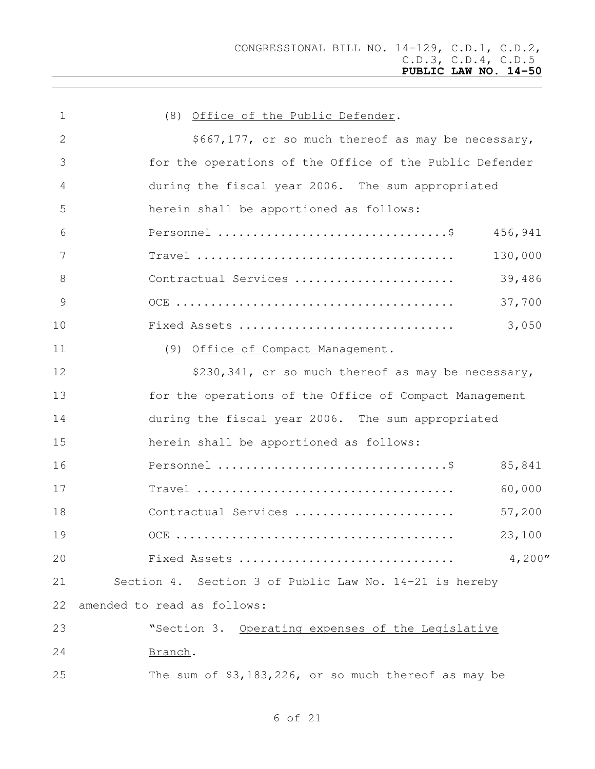| $\mathbf 1$     | (8) Office of the Public Defender.                                                          |
|-----------------|---------------------------------------------------------------------------------------------|
| 2               | \$667,177, or so much thereof as may be necessary,                                          |
| 3               | for the operations of the Office of the Public Defender                                     |
| 4               | during the fiscal year 2006. The sum appropriated                                           |
| 5               | herein shall be apportioned as follows:                                                     |
| 6               | 456,941                                                                                     |
| $7\phantom{.0}$ | 130,000<br>$Travel \dots \dots \dots \dots \dots \dots \dots \dots \dots \dots \dots \dots$ |
| 8               | Contractual Services<br>39,486                                                              |
| $\mathcal{G}$   | 37,700                                                                                      |
| 10              | 3,050<br>Fixed Assets                                                                       |
| 11              | (9) Office of Compact Management.                                                           |
| 12              | \$230,341, or so much thereof as may be necessary,                                          |
| 13              | for the operations of the Office of Compact Management                                      |
| 14              | during the fiscal year 2006. The sum appropriated                                           |
| 15              | herein shall be apportioned as follows:                                                     |
| 16              | 85,841                                                                                      |
| 17              | 60,000                                                                                      |
| 18              | Contractual Services<br>57,200                                                              |
| 19              | 23,100                                                                                      |
| 20              | 4,200''<br>Fixed Assets                                                                     |
| 21              | Section 4. Section 3 of Public Law No. 14-21 is hereby                                      |
| 22              | amended to read as follows:                                                                 |
| 23              | "Section 3. Operating expenses of the Legislative                                           |
| 24              | Branch.                                                                                     |
| 25              | The sum of \$3,183,226, or so much thereof as may be                                        |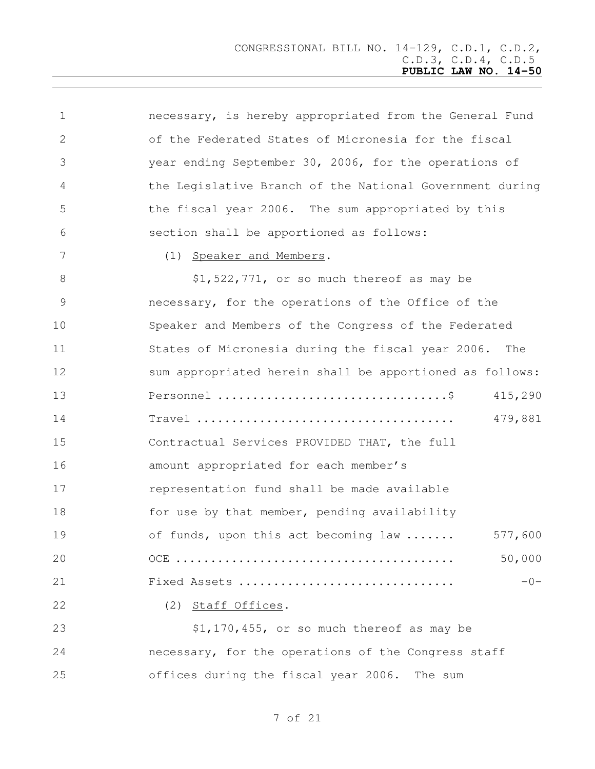| $\mathbf 1$   | necessary, is hereby appropriated from the General Fund  |
|---------------|----------------------------------------------------------|
| 2             | of the Federated States of Micronesia for the fiscal     |
| 3             | year ending September 30, 2006, for the operations of    |
| 4             | the Legislative Branch of the National Government during |
| 5             | the fiscal year 2006. The sum appropriated by this       |
| 6             | section shall be apportioned as follows:                 |
| 7             | (1) Speaker and Members.                                 |
| $8\,$         | \$1,522,771, or so much thereof as may be                |
| $\mathcal{G}$ | necessary, for the operations of the Office of the       |
| 10            | Speaker and Members of the Congress of the Federated     |
| 11            | States of Micronesia during the fiscal year 2006.<br>The |
| 12            | sum appropriated herein shall be apportioned as follows: |
| 13            | 415,290                                                  |
| 14            | 479,881                                                  |
| 15            | Contractual Services PROVIDED THAT, the full             |
| 16            | amount appropriated for each member's                    |
| 17            | representation fund shall be made available              |
| 18            | for use by that member, pending availability             |
| 19            | of funds, upon this act becoming law<br>577,600          |
| 20            | 50,000                                                   |
| 21            | Fixed Assets<br>$-0-$                                    |
| 22            | (2) Staff Offices.                                       |
| 23            | \$1,170,455, or so much thereof as may be                |
| 24            | necessary, for the operations of the Congress staff      |

offices during the fiscal year 2006. The sum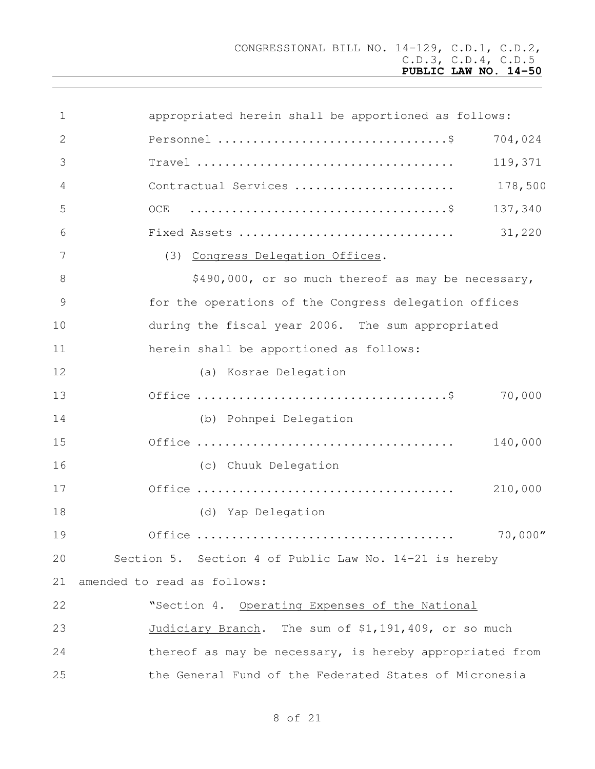| $\mathbf 1$    | appropriated herein shall be apportioned as follows:                                   |            |
|----------------|----------------------------------------------------------------------------------------|------------|
| 2              |                                                                                        | 704,024    |
| 3              | $Travel \dots \dots \dots \dots \dots \dots \dots \dots \dots \dots \dots \dots \dots$ | 119,371    |
| $\overline{4}$ | Contractual Services                                                                   | 178,500    |
| 5              | OCE $\dots\dots\dots\dots\dots\dots\dots\dots\dots\dots\dots\dots\dots\$               | 137,340    |
| 6              | Fixed Assets<br>31,220                                                                 |            |
| 7              | (3) Congress Delegation Offices.                                                       |            |
| 8              | \$490,000, or so much thereof as may be necessary,                                     |            |
| 9              | for the operations of the Congress delegation offices                                  |            |
| 10             | during the fiscal year 2006. The sum appropriated                                      |            |
| 11             | herein shall be apportioned as follows:                                                |            |
| 12             | (a) Kosrae Delegation                                                                  |            |
| 13             |                                                                                        | 70,000     |
| 14             | (b) Pohnpei Delegation                                                                 |            |
| 15             |                                                                                        | 140,000    |
| 16             | (c) Chuuk Delegation                                                                   |            |
| 17             |                                                                                        | 210,000    |
| 18             | (d) Yap Delegation                                                                     |            |
| 19             |                                                                                        | $70,000''$ |
| 20             | Section 5. Section 4 of Public Law No. 14-21 is hereby                                 |            |
| 21             | amended to read as follows:                                                            |            |
| 22             | "Section 4. Operating Expenses of the National                                         |            |
| 23             | Judiciary Branch. The sum of \$1,191,409, or so much                                   |            |
| 24             | thereof as may be necessary, is hereby appropriated from                               |            |
| 25             | the General Fund of the Federated States of Micronesia                                 |            |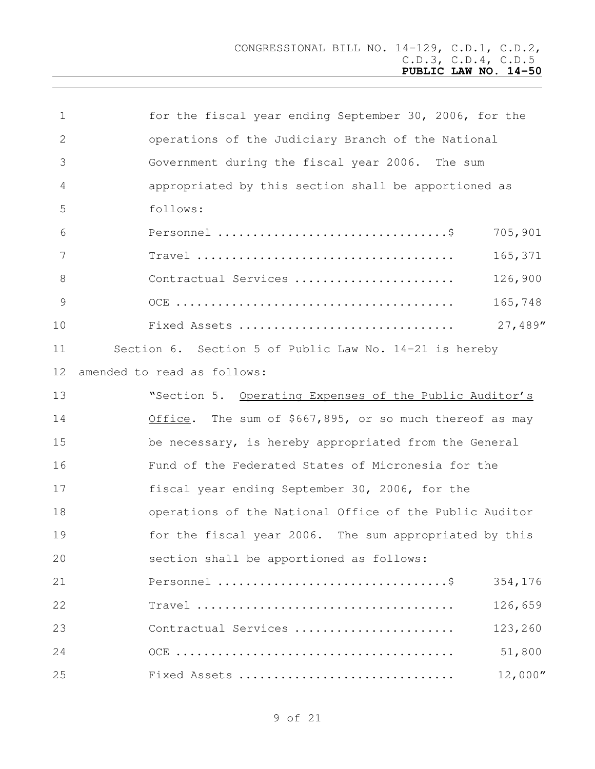| $\mathbf 1$     | for the fiscal year ending September 30, 2006, for the                                            |
|-----------------|---------------------------------------------------------------------------------------------------|
| $\mathbf{2}$    | operations of the Judiciary Branch of the National                                                |
| 3               | Government during the fiscal year 2006. The sum                                                   |
| 4               | appropriated by this section shall be apportioned as                                              |
| 5               | follows:                                                                                          |
| 6               | 705,901                                                                                           |
| 7               | 165,371                                                                                           |
| 8               | 126,900<br>Contractual Services                                                                   |
| 9               | 165,748                                                                                           |
| 10              | 27,489"<br>Fixed Assets                                                                           |
| 11              | Section 6. Section 5 of Public Law No. 14-21 is hereby                                            |
| 12 <sup>°</sup> | amended to read as follows:                                                                       |
| 13              | "Section 5. Operating Expenses of the Public Auditor's                                            |
| 14              | Office. The sum of \$667,895, or so much thereof as may                                           |
| 15              | be necessary, is hereby appropriated from the General                                             |
| 16              | Fund of the Federated States of Micronesia for the                                                |
| 17              | fiscal year ending September 30, 2006, for the                                                    |
| 18              | operations of the National Office of the Public Auditor                                           |
| 19              | for the fiscal year 2006. The sum appropriated by this                                            |
| 20              | section shall be apportioned as follows:                                                          |
| 21              | 354,176                                                                                           |
| 22              | $Travel \dots \dots \dots \dots \dots \dots \dots \dots \dots \dots \dots \dots \dots$<br>126,659 |
| 23              | 123,260<br>Contractual Services                                                                   |
| 24              | 51,800                                                                                            |
| 25              | 12,000''<br>Fixed Assets                                                                          |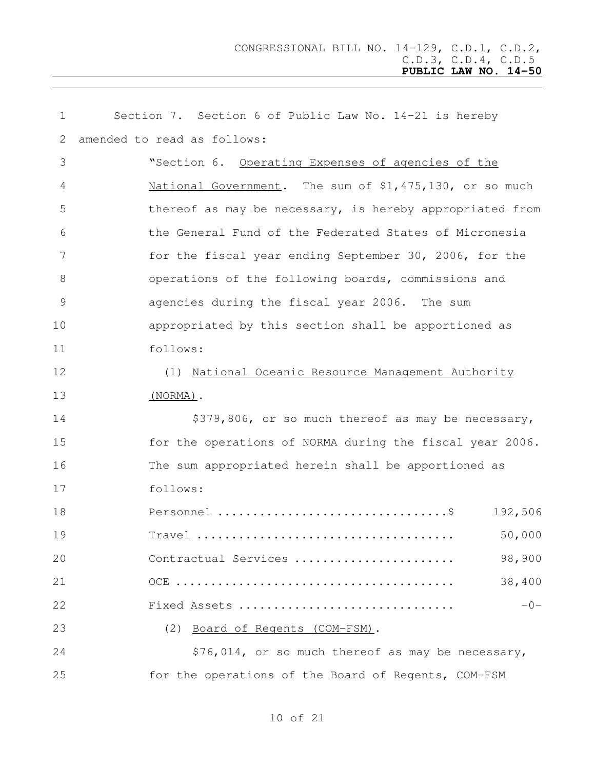| 1  | Section 7. Section 6 of Public Law No. 14-21 is hereby   |
|----|----------------------------------------------------------|
| 2  | amended to read as follows:                              |
| 3  | "Section 6. Operating Expenses of agencies of the        |
| 4  | National Government. The sum of \$1,475,130, or so much  |
| 5  | thereof as may be necessary, is hereby appropriated from |
| 6  | the General Fund of the Federated States of Micronesia   |
| 7  | for the fiscal year ending September 30, 2006, for the   |
| 8  | operations of the following boards, commissions and      |
| 9  | agencies during the fiscal year 2006. The sum            |
| 10 | appropriated by this section shall be apportioned as     |
| 11 | follows:                                                 |
| 12 | (1) National Oceanic Resource Management Authority       |
| 13 | $(NORMA)$ .                                              |
| 14 | \$379,806, or so much thereof as may be necessary,       |
| 15 | for the operations of NORMA during the fiscal year 2006. |
| 16 | The sum appropriated herein shall be apportioned as      |
| 17 | follows:                                                 |
| 18 | 192,506                                                  |
| 19 | 50,000                                                   |
| 20 | 98,900<br>Contractual Services                           |
| 21 | 38,400                                                   |
| 22 | $-0-$<br>Fixed Assets                                    |
| 23 | (2)<br>Board of Regents (COM-FSM).                       |
| 24 | \$76,014, or so much thereof as may be necessary,        |
| 25 | for the operations of the Board of Regents, COM-FSM      |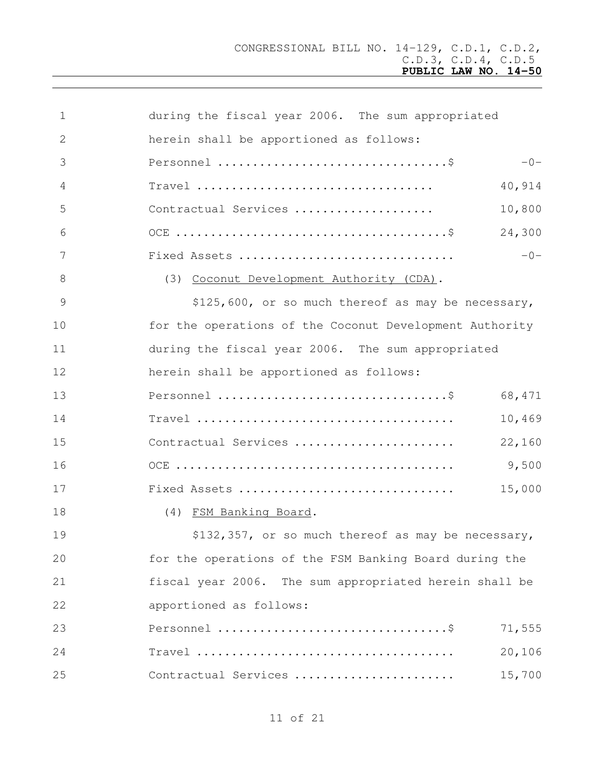| $\mathbf 1$     | during the fiscal year 2006. The sum appropriated       |        |
|-----------------|---------------------------------------------------------|--------|
| 2               | herein shall be apportioned as follows:                 |        |
| 3               |                                                         | $-0-$  |
| 4               |                                                         | 40,914 |
| 5               | Contractual Services                                    | 10,800 |
| 6               |                                                         | 24,300 |
| $7\phantom{.0}$ | Fixed Assets                                            | $-0-$  |
| $8\,$           | (3) Coconut Development Authority (CDA).                |        |
| $\mathcal{G}$   | \$125,600, or so much thereof as may be necessary,      |        |
| 10              | for the operations of the Coconut Development Authority |        |
| 11              | during the fiscal year 2006. The sum appropriated       |        |
| 12              | herein shall be apportioned as follows:                 |        |
| 13              |                                                         | 68,471 |
| 14              |                                                         | 10,469 |
| 15              | Contractual Services                                    | 22,160 |
| 16              |                                                         | 9,500  |
| 17              | Fixed Assets                                            | 15,000 |
| 18              | (4) FSM Banking Board.                                  |        |
| 19              | \$132,357, or so much thereof as may be necessary,      |        |
| 20              | for the operations of the FSM Banking Board during the  |        |
| 21              | fiscal year 2006. The sum appropriated herein shall be  |        |
| 22              | apportioned as follows:                                 |        |
| 23              |                                                         | 71,555 |
| 24              |                                                         | 20,106 |
| 25              | Contractual Services                                    | 15,700 |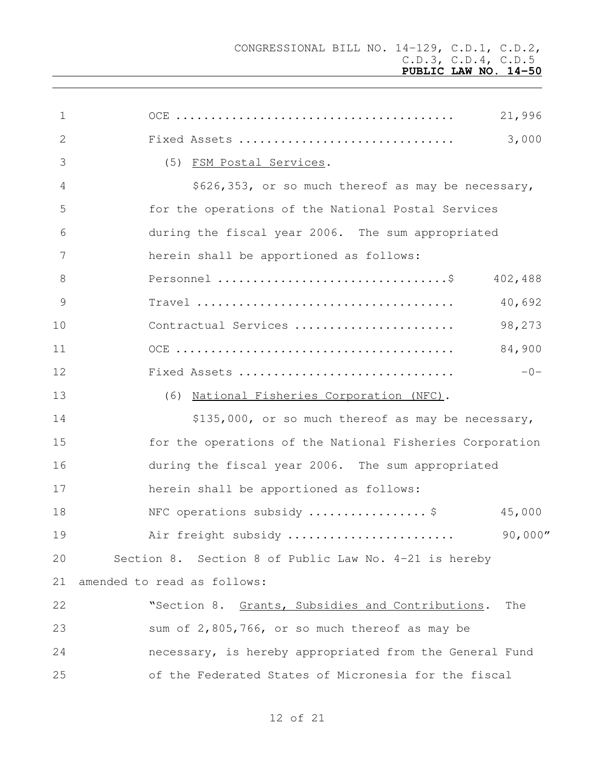| 1             | 21,996                                                   |
|---------------|----------------------------------------------------------|
| 2             | 3,000<br>Fixed Assets                                    |
| 3             | (5) FSM Postal Services.                                 |
| 4             | \$626,353, or so much thereof as may be necessary,       |
| 5             | for the operations of the National Postal Services       |
| 6             | during the fiscal year 2006. The sum appropriated        |
| 7             | herein shall be apportioned as follows:                  |
| 8             | 402,488                                                  |
| $\mathcal{G}$ | 40,692                                                   |
| 10            | 98,273<br>Contractual Services                           |
| 11            | 84,900                                                   |
| 12            | $-0-$<br>Fixed Assets                                    |
| 13            | (6) National Fisheries Corporation (NFC).                |
| 14            | \$135,000, or so much thereof as may be necessary,       |
| 15            | for the operations of the National Fisheries Corporation |
| 16            | during the fiscal year 2006. The sum appropriated        |
| 17            | herein shall be apportioned as follows:                  |
| 18            | NFC operations subsidy  \$<br>45,000                     |
| 19            | 90,000''<br>Air freight subsidy                          |
| 20            | Section 8. Section 8 of Public Law No. 4-21 is hereby    |
| 21            | amended to read as follows:                              |
| 22            | "Section 8. Grants, Subsidies and Contributions.<br>The  |
| 23            | sum of 2,805,766, or so much thereof as may be           |
| 24            | necessary, is hereby appropriated from the General Fund  |
| 25            | of the Federated States of Micronesia for the fiscal     |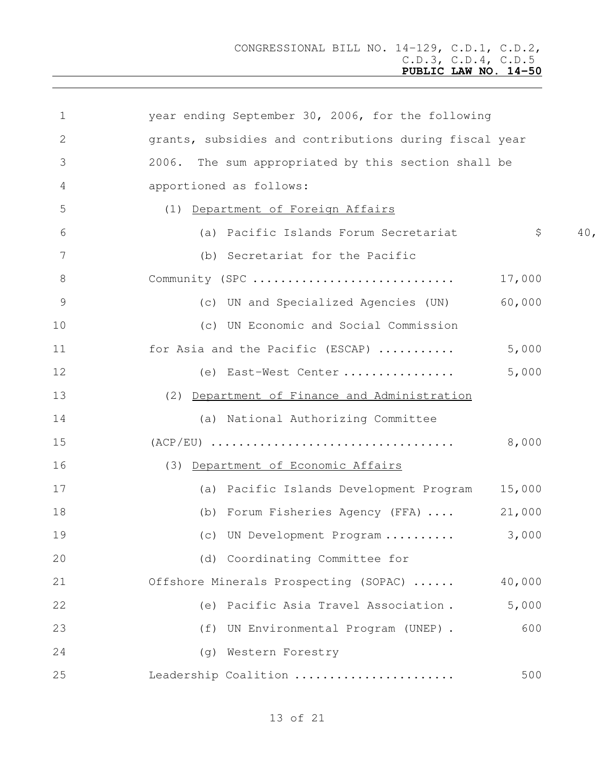| $\mathbf 1$  | year ending September 30, 2006, for the following      |
|--------------|--------------------------------------------------------|
| $\mathbf{2}$ | grants, subsidies and contributions during fiscal year |
| 3            | The sum appropriated by this section shall be<br>2006. |
| 4            | apportioned as follows:                                |
| 5            | Department of Foreign Affairs<br>(1)                   |
| 6            | \$<br>(a) Pacific Islands Forum Secretariat<br>40,     |
| 7            | (b) Secretariat for the Pacific                        |
| 8            | Community (SPC<br>17,000                               |
| 9            | 60,000<br>(c) UN and Specialized Agencies (UN)         |
| 10           | (c) UN Economic and Social Commission                  |
| 11           | for Asia and the Pacific (ESCAP)<br>5,000              |
| 12           | 5,000<br>(e) East-West Center                          |
| 13           | (2) Department of Finance and Administration           |
| 14           | (a) National Authorizing Committee                     |
| 15           | 8,000                                                  |
| 16           | (3) Department of Economic Affairs                     |
| 17           | (a) Pacific Islands Development Program<br>15,000      |
| 18           | (b) Forum Fisheries Agency (FFA)<br>21,000             |
| 19           | 3,000<br>(c) UN Development Program                    |
| 20           | (d) Coordinating Committee for                         |
| 21           | 40,000<br>Offshore Minerals Prospecting (SOPAC)        |
| 22           | (e) Pacific Asia Travel Association.<br>5,000          |
| 23           | 600<br>UN Environmental Program (UNEP).<br>(f)         |
| 24           | (g) Western Forestry                                   |
| 25           | Leadership Coalition<br>500                            |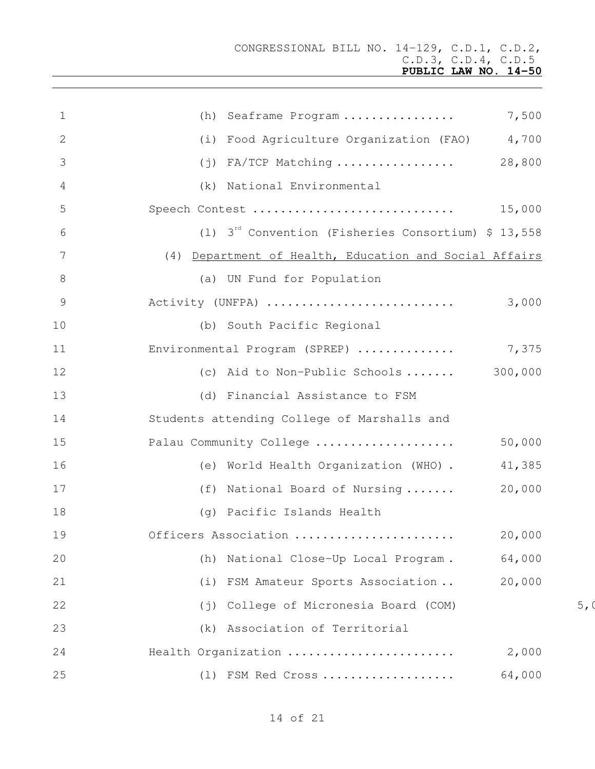| $\mathbf 1$     | (h) Seaframe Program  7,500                              |                |
|-----------------|----------------------------------------------------------|----------------|
| 2               | (i) Food Agriculture Organization (FAO) 4,700            |                |
| 3               | $(j)$ FA/TCP Matching  28,800                            |                |
| 4               | (k) National Environmental                               |                |
| 5               |                                                          |                |
| 6               | (1) $3^{rd}$ Convention (Fisheries Consortium) \$ 13,558 |                |
| $7\phantom{.0}$ | (4) Department of Health, Education and Social Affairs   |                |
| 8               | (a) UN Fund for Population                               |                |
| $\mathcal{G}$   | Activity (UNFPA)<br>3,000                                |                |
| 10              | (b) South Pacific Regional                               |                |
| 11              | Environmental Program (SPREP)  7,375                     |                |
| 12              | (c) Aid to Non-Public Schools $300,000$                  |                |
| 13              | (d) Financial Assistance to FSM                          |                |
| 14              | Students attending College of Marshalls and              |                |
| 15              | Palau Community College<br>50,000                        |                |
| 16              | (e) World Health Organization (WHO).<br>41,385           |                |
| 17              | (f) National Board of Nursing  20,000                    |                |
| 18              | (g) Pacific Islands Health                               |                |
| 19              | 20,000<br>Officers Association                           |                |
| 20              | 64,000<br>National Close-Up Local Program.<br>(h)        |                |
| 21              | 20,000<br>FSM Amateur Sports Association<br>(i)          |                |
| 22              | College of Micronesia Board (COM)<br>$(\dagger)$         | 5 <sub>r</sub> |
| 23              | Association of Territorial<br>(k)                        |                |
| 24              | Health Organization<br>2,000                             |                |
| 25              | 64,000<br>(1) FSM Red Cross                              |                |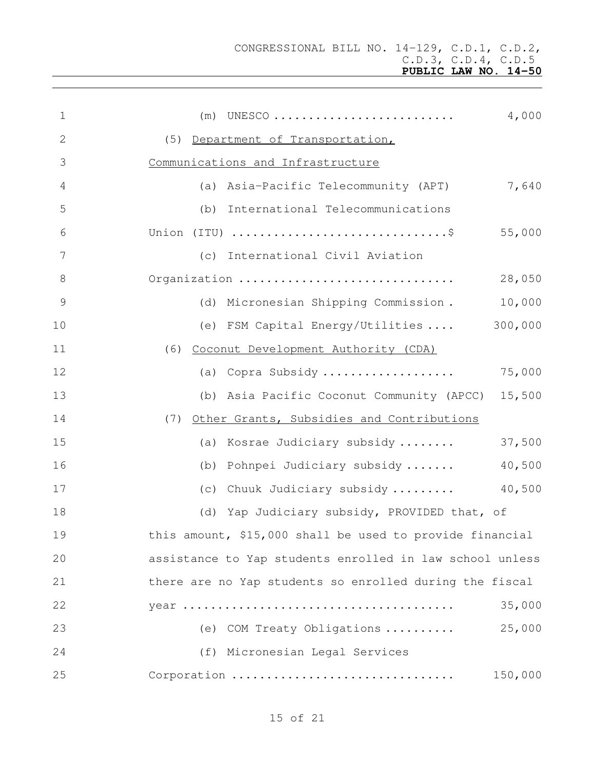| $\mathbf 1$   | 4,000<br>$(m)$ UNESCO                                    |
|---------------|----------------------------------------------------------|
| 2             | (5) Department of Transportation,                        |
| 3             | Communications and Infrastructure                        |
| 4             | 7,640<br>(a) Asia-Pacific Telecommunity (APT)            |
| 5             | (b) International Telecommunications                     |
| 6             | Union (ITU) \$<br>55,000                                 |
| 7             | (c) International Civil Aviation                         |
| $\,8\,$       | Organization<br>28,050                                   |
| $\mathcal{G}$ | 10,000<br>(d) Micronesian Shipping Commission.           |
| 10            | (e) FSM Capital Energy/Utilities  300,000                |
| 11            | (6) Coconut Development Authority (CDA)                  |
| 12            | (a) Copra Subsidy<br>75,000                              |
| 13            | (b) Asia Pacific Coconut Community (APCC) 15,500         |
| 14            | (7) Other Grants, Subsidies and Contributions            |
| 15            | 37,500<br>(a) Kosrae Judiciary subsidy                   |
| 16            | 40,500<br>(b) Pohnpei Judiciary subsidy                  |
| 17            | 40,500<br>(c) Chuuk Judiciary subsidy                    |
| 18            | (d) Yap Judiciary subsidy, PROVIDED that, of             |
| 19            | this amount, \$15,000 shall be used to provide financial |
| 20            | assistance to Yap students enrolled in law school unless |
| 21            | there are no Yap students so enrolled during the fiscal  |
| 22            | 35,000                                                   |
| 23            | 25,000<br>(e) COM Treaty Obligations                     |
| 24            | (f) Micronesian Legal Services                           |
| 25            | Corporation<br>150,000                                   |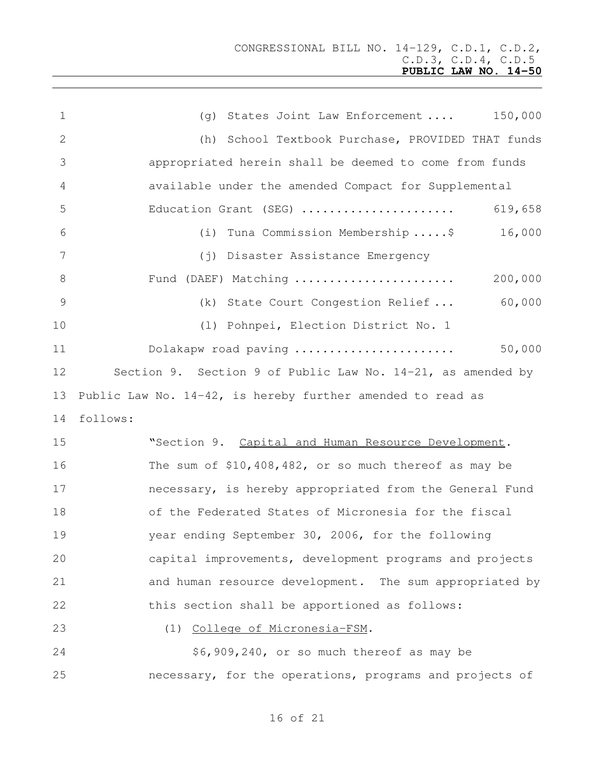| $\mathbf 1$    | 150,000<br>(g) States Joint Law Enforcement                 |
|----------------|-------------------------------------------------------------|
| 2              | (h) School Textbook Purchase, PROVIDED THAT funds           |
| 3              | appropriated herein shall be deemed to come from funds      |
| 4              | available under the amended Compact for Supplemental        |
| 5              | 619,658<br>Education Grant (SEG)                            |
| 6              | Tuna Commission Membership\$<br>16,000<br>(i)               |
| 7              | (j) Disaster Assistance Emergency                           |
| 8              | 200,000<br>Fund (DAEF) Matching                             |
| $\overline{9}$ | 60,000<br>(k) State Court Congestion Relief                 |
| 10             | (1) Pohnpei, Election District No. 1                        |
| 11             | 50,000<br>Dolakapw road paving                              |
| 12             | Section 9. Section 9 of Public Law No. 14-21, as amended by |
| 13             | Public Law No. 14-42, is hereby further amended to read as  |
| 14             | follows:                                                    |
| 15             | "Section 9. Capital and Human Resource Development.         |
| 16             | The sum of $$10,408,482$ , or so much thereof as may be     |
| 17             | necessary, is hereby appropriated from the General Fund     |
| 18             | of the Federated States of Micronesia for the fiscal        |
| 19             | year ending September 30, 2006, for the following           |
| 20             | capital improvements, development programs and projects     |
| 21             | and human resource development. The sum appropriated by     |
| 22             | this section shall be apportioned as follows:               |
| 23             | (1) College of Micronesia-FSM.                              |
| 24             | \$6,909,240, or so much thereof as may be                   |
| 25             | necessary, for the operations, programs and projects of     |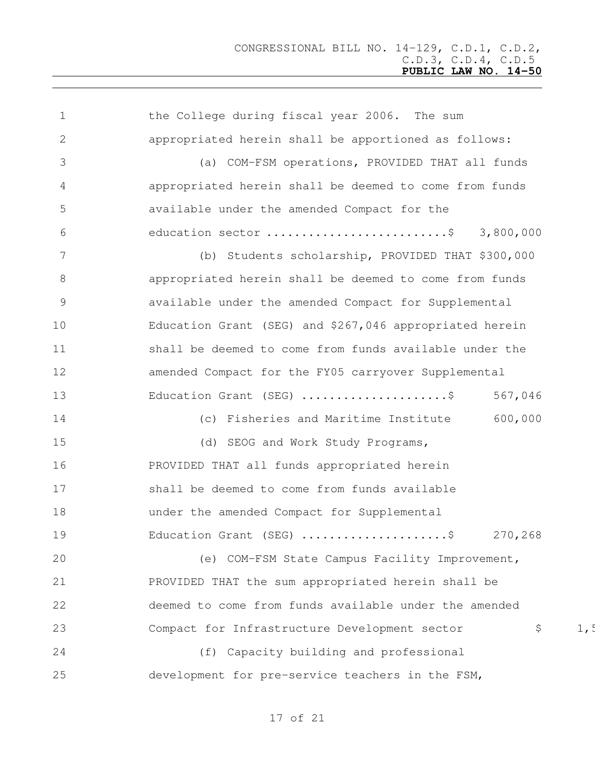the College during fiscal year 2006. The sum appropriated herein shall be apportioned as follows: (a) COM-FSM operations, PROVIDED THAT all funds appropriated herein shall be deemed to come from funds available under the amended Compact for the education sector ..........................\$ 3,800,000 (b) Students scholarship, PROVIDED THAT \$300,000 appropriated herein shall be deemed to come from funds available under the amended Compact for Supplemental Education Grant (SEG) and \$267,046 appropriated herein 11 shall be deemed to come from funds available under the amended Compact for the FY05 carryover Supplemental 13 Education Grant (SEG) .........................\$ 567,046 (c) Fisheries and Maritime Institute 600,000 15 (d) SEOG and Work Study Programs, PROVIDED THAT all funds appropriated herein shall be deemed to come from funds available under the amended Compact for Supplemental Education Grant (SEG) .....................\$ 270,268 (e) COM-FSM State Campus Facility Improvement, PROVIDED THAT the sum appropriated herein shall be deemed to come from funds available under the amended 23 Compact for Infrastructure Development sector  $\qquad \qquad \text{S} \qquad \qquad 1.5$  (f) Capacity building and professional development for pre-service teachers in the FSM,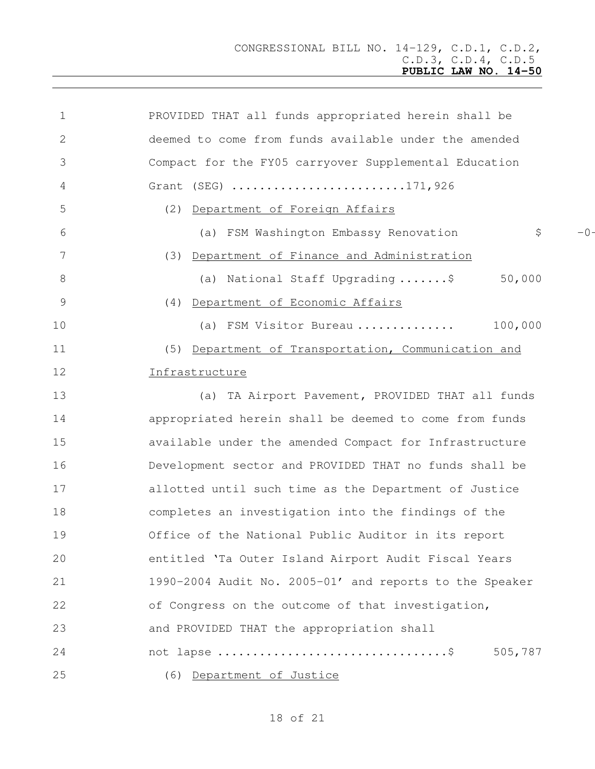| $\mathbf 1$   | PROVIDED THAT all funds appropriated herein shall be    |
|---------------|---------------------------------------------------------|
| 2             | deemed to come from funds available under the amended   |
| 3             | Compact for the FY05 carryover Supplemental Education   |
| 4             | Grant (SEG) 171,926                                     |
| 5             | (2) Department of Foreign Affairs                       |
| 6             | \$<br>$-0-$<br>(a) FSM Washington Embassy Renovation    |
| 7             | (3) Department of Finance and Administration            |
| 8             | 50,000<br>(a) National Staff Upgrading\$                |
| $\mathcal{G}$ | (4) Department of Economic Affairs                      |
| 10            | 100,000<br>(a) FSM Visitor Bureau                       |
| 11            | (5) Department of Transportation, Communication and     |
| 12            | Infrastructure                                          |
| 13            | (a) TA Airport Pavement, PROVIDED THAT all funds        |
| 14            | appropriated herein shall be deemed to come from funds  |
| 15            | available under the amended Compact for Infrastructure  |
| 16            | Development sector and PROVIDED THAT no funds shall be  |
| 17            | allotted until such time as the Department of Justice   |
| 18            | completes an investigation into the findings of the     |
| 19            | Office of the National Public Auditor in its report     |
| 20            | entitled 'Ta Outer Island Airport Audit Fiscal Years    |
| 21            | 1990-2004 Audit No. 2005-01' and reports to the Speaker |
| 22            | of Congress on the outcome of that investigation,       |
| 23            | and PROVIDED THAT the appropriation shall               |
| 24            | 505,787                                                 |
| 25            | (6) Department of Justice                               |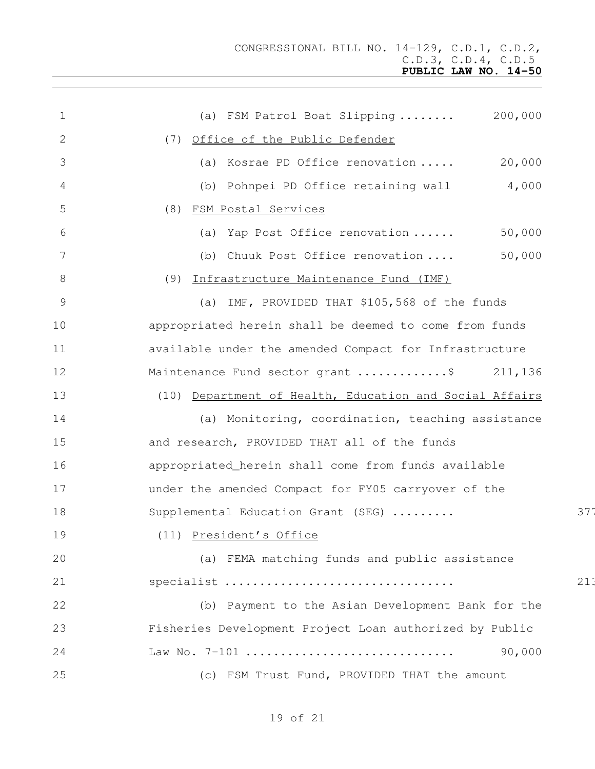| $\mathbf 1$     | 200,000<br>(a) FSM Patrol Boat Slipping                 |     |
|-----------------|---------------------------------------------------------|-----|
| 2               | (7) Office of the Public Defender                       |     |
| 3               | 20,000<br>(a) Kosrae PD Office renovation               |     |
| 4               | (b) Pohnpei PD Office retaining wall 4,000              |     |
| 5               | (8) FSM Postal Services                                 |     |
| 6               | 50,000<br>(a) Yap Post Office renovation                |     |
| $7\phantom{.0}$ | 50,000<br>(b) Chuuk Post Office renovation              |     |
| $8\,$           | (9) Infrastructure Maintenance Fund (IMF)               |     |
| $\mathcal{G}$   | (a) IMF, PROVIDED THAT \$105,568 of the funds           |     |
| 10              | appropriated herein shall be deemed to come from funds  |     |
| 11              | available under the amended Compact for Infrastructure  |     |
| 12              | Maintenance Fund sector grant \$ 211,136                |     |
| 13              | (10) Department of Health, Education and Social Affairs |     |
| 14              | (a) Monitoring, coordination, teaching assistance       |     |
| 15              | and research, PROVIDED THAT all of the funds            |     |
| 16              | appropriated_herein shall come from funds available     |     |
| 17              | under the amended Compact for FY05 carryover of the     |     |
| 18              | Supplemental Education Grant (SEG)                      | 377 |
| 19              | (11) President's Office                                 |     |
| 20              | (a) FEMA matching funds and public assistance           |     |
| 21              | specialist                                              | 213 |
| 22              | (b) Payment to the Asian Development Bank for the       |     |
| 23              | Fisheries Development Project Loan authorized by Public |     |
| 24              | 90,000<br>Law No. 7-101                                 |     |
| 25              | (c) FSM Trust Fund, PROVIDED THAT the amount            |     |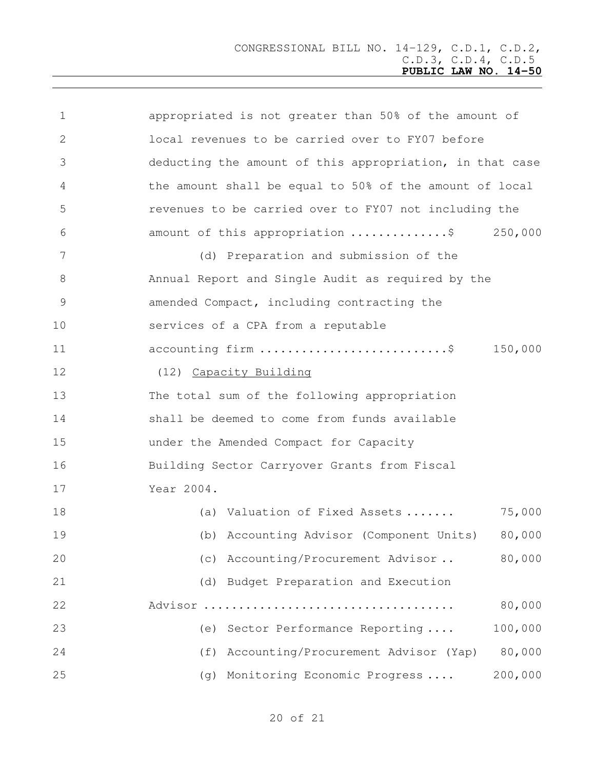| 1             | appropriated is not greater than 50% of the amount of    |
|---------------|----------------------------------------------------------|
| 2             | local revenues to be carried over to FY07 before         |
| 3             | deducting the amount of this appropriation, in that case |
| 4             | the amount shall be equal to 50% of the amount of local  |
| 5             | revenues to be carried over to FY07 not including the    |
| 6             | amount of this appropriation \$<br>250,000               |
| 7             | (d) Preparation and submission of the                    |
| 8             | Annual Report and Single Audit as required by the        |
| $\mathcal{G}$ | amended Compact, including contracting the               |
| 10            | services of a CPA from a reputable                       |
| 11            | accounting firm \$<br>150,000                            |
| 12            | (12) Capacity Building                                   |
| 13            | The total sum of the following appropriation             |
| 14            | shall be deemed to come from funds available             |
| 15            | under the Amended Compact for Capacity                   |
| 16            | Building Sector Carryover Grants from Fiscal             |
| 17            | Year 2004.                                               |
| 18            | 75,000<br>(a) Valuation of Fixed Assets                  |
| 19            | 80,000<br>(b) Accounting Advisor (Component Units)       |
| 20            | 80,000<br>(c) Accounting/Procurement Advisor             |
| 21            | Budget Preparation and Execution<br>(d)                  |
| 22            | 80,000                                                   |
| 23            | 100,000<br>Sector Performance Reporting<br>(e)           |
| 24            | 80,000<br>(f)<br>Accounting/Procurement Advisor (Yap)    |
| 25            | 200,000<br>Monitoring Economic Progress<br>(q)           |